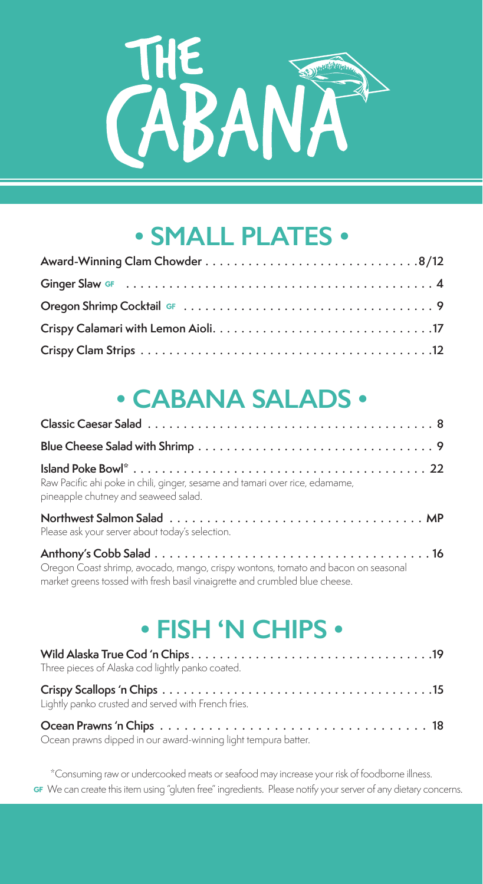

## **• SMALL PLATES •**

# **• CABANA SALADS •**

| Raw Pacific ahi poke in chili, ginger, sesame and tamari over rice, edamame,<br>pineapple chutney and seaweed salad.                                             |
|------------------------------------------------------------------------------------------------------------------------------------------------------------------|
| Please ask your server about today's selection.                                                                                                                  |
| Oregon Coast shrimp, avocado, mango, crispy wontons, tomato and bacon on seasonal<br>market greens tossed with fresh basil vinaigrette and crumbled blue cheese. |

## **• FISH 'N CHIPS •**

| Three pieces of Alaska cod lightly panko coated.               |
|----------------------------------------------------------------|
| Lightly panko crusted and served with French fries.            |
| Ocean prawns dipped in our award-winning light tempura batter. |

\*Consuming raw or undercooked meats or seafood may increase your risk of foodborne illness. **GF** We can create this item using "gluten free" ingredients. Please notify your server of any dietary concerns.